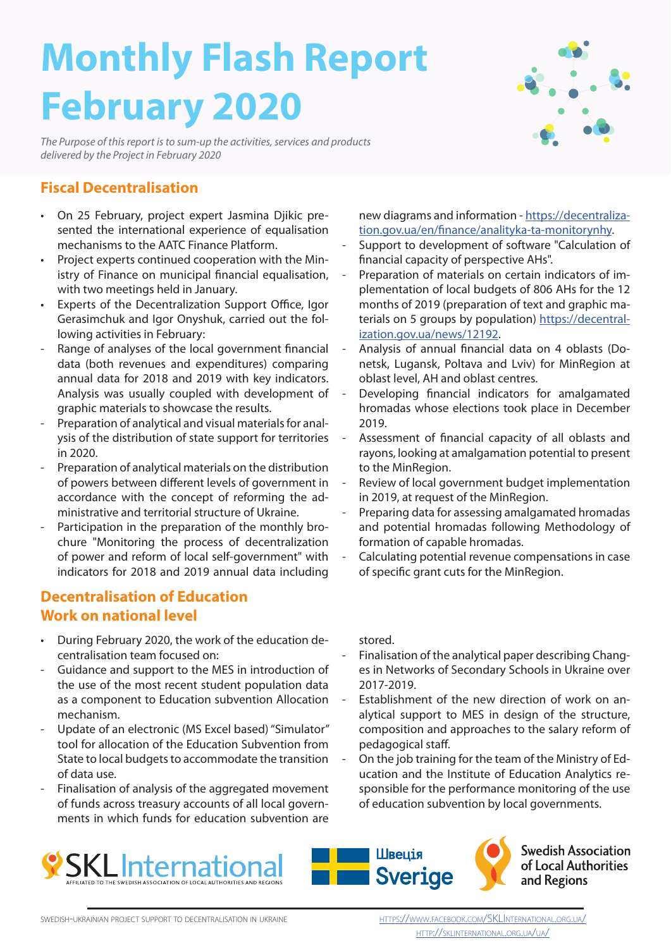# **Monthly Flash Report February 2020**

*The Purpose of this report is to sum-up the activities, services and products delivered by the Project in February 2020*



#### **Fiscal Decentralisation**

- On 25 February, project expert Jasmina Djikic presented the international experience of equalisation mechanisms to the AATC Finance Platform.
- Project experts continued cooperation with the Ministry of Finance on municipal financial equalisation, with two meetings held in January.
- Experts of the Decentralization Support Office, Igor Gerasimchuk and Igor Onyshuk, carried out the following activities in February:
- Range of analyses of the local government financial data (both revenues and expenditures) comparing annual data for 2018 and 2019 with key indicators. Analysis was usually coupled with development of graphic materials to showcase the results.
- Preparation of analytical and visual materials for analysis of the distribution of state support for territories in 2020.
- Preparation of analytical materials on the distribution of powers between different levels of government in accordance with the concept of reforming the administrative and territorial structure of Ukraine.
- Participation in the preparation of the monthly brochure "Monitoring the process of decentralization of power and reform of local self-government" with indicators for 2018 and 2019 annual data including

#### **Decentralisation of Education Work on national level**

- During February 2020, the work of the education decentralisation team focused on:
- Guidance and support to the MES in introduction of the use of the most recent student population data as a component to Education subvention Allocation mechanism.
- Update of an electronic (MS Excel based) "Simulator" tool for allocation of the Education Subvention from State to local budgets to accommodate the transition of data use.
- Finalisation of analysis of the aggregated movement of funds across treasury accounts of all local governments in which funds for education subvention are

new diagrams and information - https://decentralization.gov.ua/en/finance/analityka-ta-monitorynhy.

- Support to development of software "Calculation of financial capacity of perspective AHs".
- Preparation of materials on certain indicators of implementation of local budgets of 806 AHs for the 12 months of 2019 (preparation of text and graphic materials on 5 groups by population) https://decentralization.gov.ua/news/12192.
- Analysis of annual financial data on 4 oblasts (Donetsk, Lugansk, Poltava and Lviv) for MinRegion at oblast level, AH and oblast centres.
- Developing financial indicators for amalgamated hromadas whose elections took place in December 2019.
- Assessment of financial capacity of all oblasts and rayons, looking at amalgamation potential to present to the MinRegion.
- Review of local government budget implementation in 2019, at request of the MinRegion.
- Preparing data for assessing amalgamated hromadas and potential hromadas following Methodology of formation of capable hromadas.
- Calculating potential revenue compensations in case of specific grant cuts for the MinRegion.

stored.

- Finalisation of the analytical paper describing Changes in Networks of Secondary Schools in Ukraine over 2017-2019.
- Establishment of the new direction of work on analytical support to MES in design of the structure, composition and approaches to the salary reform of pedagogical staff.
- On the job training for the team of the Ministry of Education and the Institute of Education Analytics responsible for the performance monitoring of the use of education subvention by local governments.







**Swedish Association**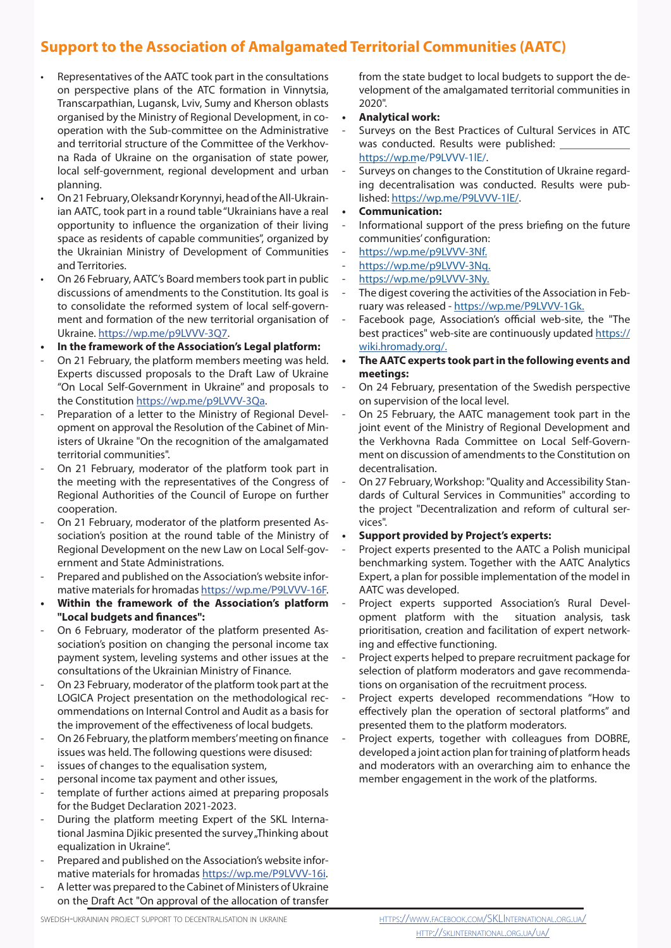## **Support to the Association of Amalgamated Territorial Communities (AATC)**

- Representatives of the AATC took part in the consultations on perspective plans of the ATC formation in Vinnytsia, Transcarpathian, Lugansk, Lviv, Sumy and Kherson oblasts organised by the Ministry of Regional Development, in cooperation with the Sub-committee on the Administrative and territorial structure of the Committee of the Verkhovna Rada of Ukraine on the organisation of state power, local self-government, regional development and urban planning.
- On 21 February, Oleksandr Korynnyi, head of the All-Ukrainian AATC, took part in a round table "Ukrainians have a real opportunity to influence the organization of their living space as residents of capable communities", organized by the Ukrainian Ministry of Development of Communities and Territories.
- On 26 February, AATC's Board members took part in public discussions of amendments to the Constitution. Its goal is to consolidate the reformed system of local self-government and formation of the new territorial organisation of Ukraine. https://wp.me/p9LVVV-3Q7.
- **• In the framework of the Association's Legal platform:**
- On 21 February, the platform members meeting was held. Experts discussed proposals to the Draft Law of Ukraine "On Local Self-Government in Ukraine" and proposals to the Constitution https://wp.me/p9LVVV-3Qa.
- Preparation of a letter to the Ministry of Regional Development on approval the Resolution of the Cabinet of Ministers of Ukraine "On the recognition of the amalgamated territorial communities".
- On 21 February, moderator of the platform took part in the meeting with the representatives of the Congress of Regional Authorities of the Council of Europe on further cooperation.
- On 21 February, moderator of the platform presented Association's position at the round table of the Ministry of Regional Development on the new Law on Local Self-government and State Administrations.
- Prepared and published on the Association's website informative materials for hromadas https://wp.me/P9LVVV-16F.
- **• Within the framework of the Association's platform "Local budgets and finances":**
- On 6 February, moderator of the platform presented Association's position on changing the personal income tax payment system, leveling systems and other issues at the consultations of the Ukrainian Ministry of Finance.
- On 23 February, moderator of the platform took part at the LOGICA Project presentation on the methodological recommendations on Internal Control and Audit as a basis for the improvement of the effectiveness of local budgets.
- On 26 February, the platform members' meeting on finance issues was held. The following questions were disused:
- issues of changes to the equalisation system,
- personal income tax payment and other issues,
- template of further actions aimed at preparing proposals for the Budget Declaration 2021-2023.
- During the platform meeting Expert of the SKL International Jasmina Djikic presented the survey "Thinking about equalization in Ukraine".
- Prepared and published on the Association's website informative materials for hromadas https://wp.me/P9LVVV-16i.
- A letter was prepared to the Cabinet of Ministers of Ukraine on the Draft Act "On approval of the allocation of transfer

from the state budget to local budgets to support the development of the amalgamated territorial communities in 2020".

- **• Analytical work:**
- Surveys on the Best Practices of Cultural Services in ATC was conducted. Results were published: https://wp.me/P9LVVV-1lE/.
- Surveys on changes to the Constitution of Ukraine regarding decentralisation was conducted. Results were published: https://wp.me/P9LVVV-1lE/.
- **• Communication:**
- Informational support of the press briefing on the future communities' configuration:
- https://wp.me/p9LVVV-3Nf.
- https://wp.me/p9LVVV-3Nq.
- https://wp.me/p9LVVV-3Ny.
- The digest covering the activities of the Association in February was released - https://wp.me/P9LVVV-1Gk.
- Facebook page, Association's official web-site, the "The best practices" web-site are continuously updated https:// wiki.hromady.org/.
- **• The AATC experts took part in the following events and meetings:**
- On 24 February, presentation of the Swedish perspective on supervision of the local level.
- On 25 February, the AATC management took part in the joint event of the Ministry of Regional Development and the Verkhovna Rada Committee on Local Self-Government on discussion of amendments to the Constitution on decentralisation.
- On 27 February, Workshop: "Quality and Accessibility Standards of Cultural Services in Communities" according to the project "Decentralization and reform of cultural services".
- **• Support provided by Project's experts:**
- Project experts presented to the AATC a Polish municipal benchmarking system. Together with the AATC Analytics Expert, a plan for possible implementation of the model in AATC was developed.
- Project experts supported Association's Rural Development platform with the situation analysis, task prioritisation, creation and facilitation of expert networking and effective functioning.
- Project experts helped to prepare recruitment package for selection of platform moderators and gave recommendations on organisation of the recruitment process.
- Project experts developed recommendations "How to effectively plan the operation of sectoral platforms" and presented them to the platform moderators.
- Project experts, together with colleagues from DOBRE, developed a joint action plan for training of platform heads and moderators with an overarching aim to enhance the member engagement in the work of the platforms.